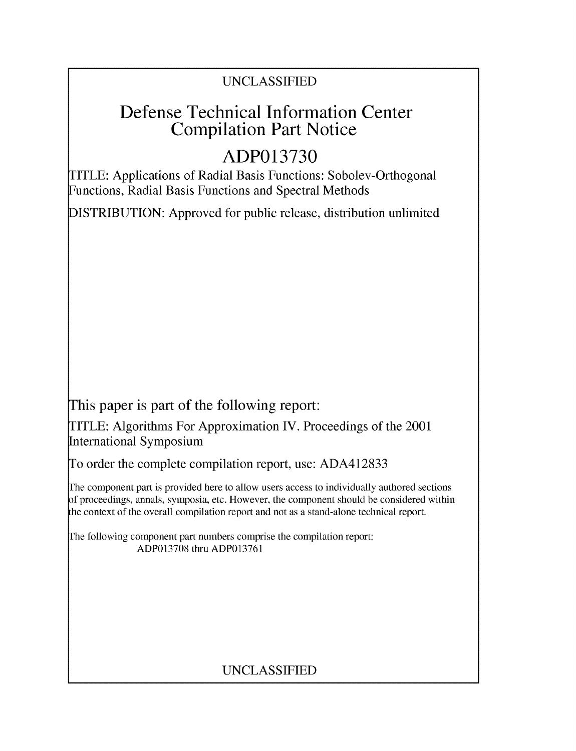# UNCLASSIFIED

# Defense Technical Information Center Compilation Part Notice

# **ADP013730**

TITLE: Applications of Radial Basis Functions: Sobolev-Orthogonal Functions, Radial Basis Functions and Spectral Methods

DISTRIBUTION: Approved for public release, distribution unlimited

This paper is part of the following report:

TITLE: Algorithms For Approximation IV. Proceedings of the 2001 International Symposium

To order the complete compilation report, use: ADA412833

The component part is provided here to allow users access to individually authored sections f proceedings, annals, symposia, etc. However, the component should be considered within the context of the overall compilation report and not as a stand-alone technical report.

The following component part numbers comprise the compilation report: ADP013708 thru ADP013761

# UNCLASSIFIED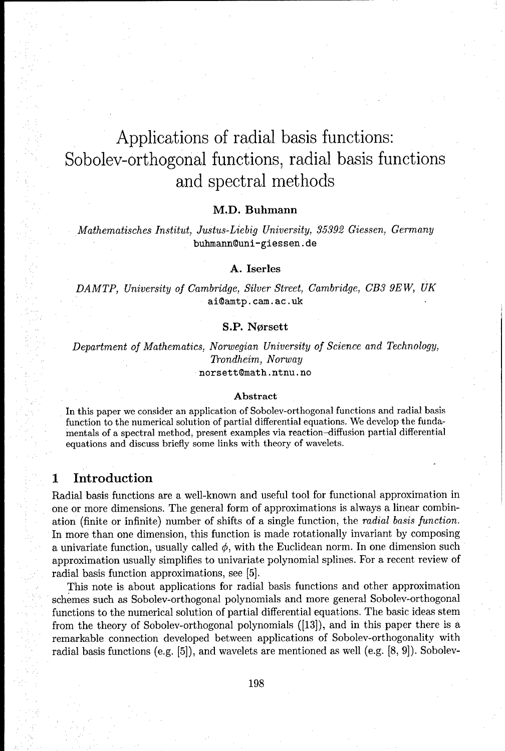# Applications of radial basis functions: Sobolev-orthogonal functions, radial basis functions and spectral methods

#### M.D. Buhmann

*Mathematisches Institut, Justus-Liebig University, 35392 Giessen,* Germany buhmann@uni-giessen. de

#### **A.** Iserles

*DAMTP, University of Cambridge, Silver Street, Cambridge, CB3 9EW, UK* ai@amtp.cam.ac.uk

#### **S.P.** Norsett

Department *of Mathematics, Norwegian University of Science and Technology,* Trondheim, *Norway*

norsettOmath .ntnu. no

#### Abstract

In this paper we consider an application of Sobolev-orthogonal functions and radial basis function to the numerical solution of partial differential equations. We develop the fundamentals of a spectral method, present examples via reaction-diffusion partial differential equations and discuss briefly some links with theory of wavelets.

# **1** Introduction

Radial basis functions are a well-known and useful tool for functional approximation in one or more dimensions. The general form of approximations is always a linear combination (finite or infinite) number of shifts of a single function, the radial basis function. In more than one dimension, this function is made rotationally invariant by composing a univariate function, usually called  $\phi$ , with the Euclidean norm. In one dimension such approximation usually simplifies to univariate polynomial splines. For a recent review of radial basis function approximations, see [5].

This note is about applications for radial basis functions and other approximation schemes such as Sobolev-orthogonal polynomials and more general Sobolev-orthogonal functions to the numerical solution of partial differential equations. The basic ideas stem from the theory of Sobolev-orthogonal polynomials ([13]), and in this paper there is a remarkable connection developed between applications of Sobolev-orthogonality with radial basis functions (e.g. [5]), and wavelets are mentioned as well (e.g. [8, 9]). Sobolev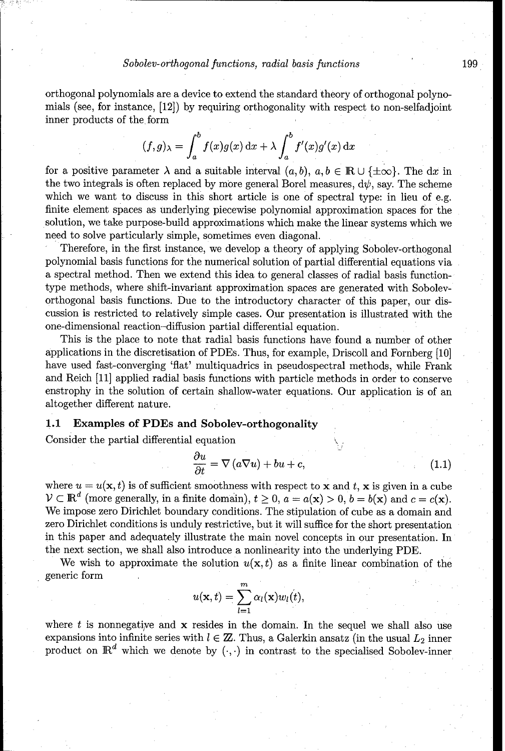orthogonal polynomials are a device to extend the standard theory of orthogonal polynomials (see, for instance, [12]) by requiring orthogonality with respect to non-selfadjoint inner products of the form

$$
(f,g)_{\lambda} = \int_{a}^{b} f(x)g(x) dx + \lambda \int_{a}^{b} f'(x)g'(x) dx
$$

for a positive parameter  $\lambda$  and a suitable interval  $(a, b)$ ,  $a, b \in \mathbb{R} \cup \{\pm \infty\}$ . The dx in the two integrals is often replaced by more general Borel measures,  $d\psi$ , say. The scheme which we want to discuss in this short article is one of spectral type: in lieu of e.g. finite element spaces as underlying piecewise polynomial approximation spaces for the solution, we take purpose-build approximations which make the linear systems which we need to solve particularly simple, sometimes even diagonal.

Therefore, in the first instance, we develop a theory of applying Sobolev-orthogonal polynomial basis functions for the numerical solution of partial differential equations via a spectral method. Then we extend this idea to general classes of radial basis functiontype methods, where shift-invariant approximation spaces are generated with Sobolevorthogonal basis functions. Due to the introductory character of this paper, our discussion is restricted to relatively simple cases. Our presentation is illustrated with the one-dimensional reaction-diffusion partial differential equation.

This is the place to note that radial basis functions have found a number of other applications in the discretisation of PDEs. Thus, for example, Driscoll and Fornberg [10] have used fast-converging 'flat' multiquadrics in pseudospectral methods, while Frank and Reich [11] applied radial basis functions with particle methods in order to conserve enstrophy in the solution of certain shallow-water equations. Our application is of an altogether different nature.

#### **1.1** Examples of PDEs and Sobolev-orthogonality

Consider the partial differential equation

$$
\frac{\partial u}{\partial t} = \nabla (a\nabla u) + bu + c,\tag{1.1}
$$

where  $u = u(\mathbf{x}, t)$  is of sufficient smoothness with respect to **x** and t, **x** is given in a cube  $V \subset \mathbb{R}^d$  (more generally, in a finite domain),  $t \geq 0$ ,  $a = a(\mathbf{x}) > 0$ ,  $b = b(\mathbf{x})$  and  $c = c(\mathbf{x})$ . We impose zero Dirichlet boundary conditions. The stipulation of cube as a domain and zero Dirichlet conditions is unduly restrictive, but it will suffice for the short presentation in this paper and adequately illustrate the main novel concepts in our presentation. In the next section, we shall also introduce a nonlinearity into the underlying PDE.

We wish to approximate the solution  $u(\mathbf{x}, t)$  as a finite linear combination of the generic form

$$
u(\mathbf{x},t)=\sum_{l=1}^m \alpha_l(\mathbf{x})w_l(t),
$$

where t is nonnegative and  $x$  resides in the domain. In the sequel we shall also use expansions into infinite series with  $l \in \mathbb{Z}$ . Thus, a Galerkin ansatz (in the usual  $L_2$  inner product on  $\mathbb{R}^d$  which we denote by  $(\cdot,\cdot)$  in contrast to the specialised Sobolev-inner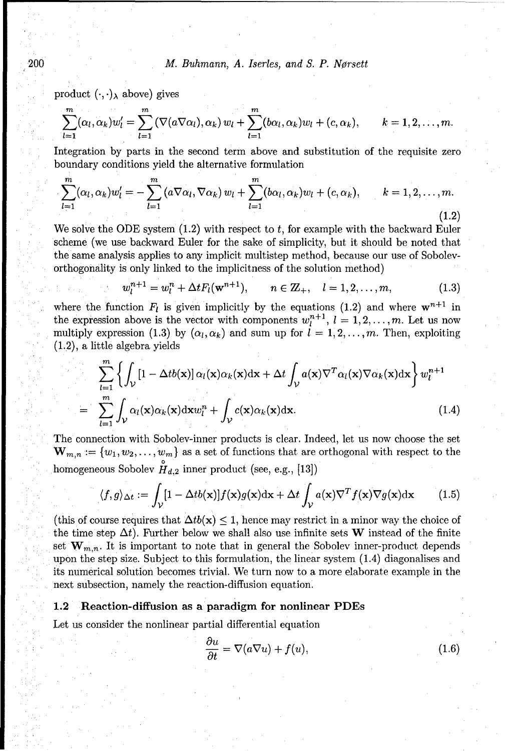200 M. Buhmann, *A. Iserles, and S. P. Norsett*

product  $(\cdot, \cdot)_{\lambda}$  above) gives

$$
\sum_{l=1}^m (\alpha_l, \alpha_k) w'_l = \sum_{l=1}^m (\nabla(a\nabla\alpha_l), \alpha_k) w_l + \sum_{l=1}^m (b\alpha_l, \alpha_k) w_l + (c, \alpha_k), \qquad k = 1, 2, \ldots, m.
$$

Integration by parts in the second term above and substitution of the requisite zero boundary conditions yield the alternative formulation

$$
\sum_{l=1}^{m} (\alpha_l, \alpha_k) w'_l = -\sum_{l=1}^{m} (\alpha \nabla \alpha_l, \nabla \alpha_k) w_l + \sum_{l=1}^{m} (b \alpha_l, \alpha_k) w_l + (c, \alpha_k), \qquad k = 1, 2, \ldots, m.
$$
\n(1.2)

We solve the ODE system  $(1.2)$  with respect to t, for example with the backward Euler scheme (we use backward Euler for the sake of simplicity, but it should be noted that the same analysis applies to any implicit multistep method, because our use of Sobolevorthogonality is only linked to the implicitness of the solution method)

$$
w_l^{n+1} = w_l^n + \Delta t F_l(\mathbf{w}^{n+1}), \qquad n \in \mathbb{Z}_+, \quad l = 1, 2, \dots, m,
$$
 (1.3)

where the function  $F_l$  is given implicitly by the equations (1.2) and where  $\mathbf{w}^{n+1}$  in the expression above is the vector with components  $w_l^{n+1}$ ,  $l = 1, 2, \ldots, m$ . Let us now multiply expression (1.3) by  $(\alpha_i, \alpha_k)$  and sum up for  $l = 1, 2, \ldots, m$ . Then, exploiting (1.2), a little algebra yields

$$
\sum_{l=1}^{m} \left\{ \int_{\mathcal{V}} \left[ 1 - \Delta t b(\mathbf{x}) \right] \alpha_l(\mathbf{x}) \alpha_k(\mathbf{x}) d\mathbf{x} + \Delta t \int_{\mathcal{V}} a(\mathbf{x}) \nabla^T \alpha_l(\mathbf{x}) \nabla \alpha_k(\mathbf{x}) d\mathbf{x} \right\} w_l^{n+1}
$$
  
= 
$$
\sum_{l=1}^{m} \int_{\mathcal{V}} \alpha_l(\mathbf{x}) \alpha_k(\mathbf{x}) d\mathbf{x} w_l^n + \int_{\mathcal{V}} c(\mathbf{x}) \alpha_k(\mathbf{x}) d\mathbf{x}.
$$
 (1.4)

The connection with Sobolev-inner products is clear. Indeed, let us now choose the set  $\mathbf{W}_{m,n} := \{w_1, w_2, \ldots, w_m\}$  as a set of functions that are orthogonal with respect to the homogeneous Sobolev  $H_{d,2}$  inner product (see, e.g., [13])

$$
\langle f, g \rangle_{\Delta t} := \int_{\mathcal{V}} [1 - \Delta t b(\mathbf{x})] f(\mathbf{x}) g(\mathbf{x}) \, \mathrm{d}\mathbf{x} + \Delta t \int_{\mathcal{V}} a(\mathbf{x}) \nabla^T f(\mathbf{x}) \nabla g(\mathbf{x}) \, \mathrm{d}\mathbf{x} \tag{1.5}
$$

(this of course requires that  $\Delta tb(\mathbf{x}) \leq 1$ , hence may restrict in a minor way the choice of the time step  $\Delta t$ ). Further below we shall also use infinite sets W instead of the finite set  $\mathbf{W}_{m,n}$ . It is important to note that in general the Sobolev inner-product depends upon the step size. Subject to this formulation, the linear system (1.4) diagonalises and its numerical solution becomes trivial. We turn now to a more elaborate example in the next subsection, namely the reaction-diffusion equation.

#### 1.2 Reaction-diffusion as a paradigm for nonlinear PDEs

Let us consider the nonlinear partial differential equation

$$
\frac{\partial u}{\partial t} = \nabla(a\nabla u) + f(u),\tag{1.6}
$$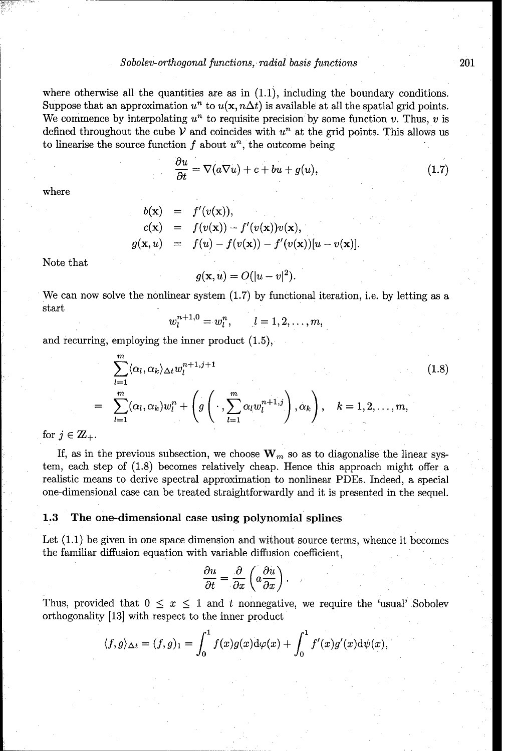where otherwise all the quantities are as in  $(1.1)$ , including the boundary conditions. Suppose that an approximation  $u^n$  to  $u(\mathbf{x}, n\Delta t)$  is available at all the spatial grid points. We commence by interpolating  $u^n$  to requisite precision by some function v. Thus, v is defined throughout the cube  $\mathcal V$  and coincides with  $u^n$  at the grid points. This allows us to linearise the source function  $f$  about  $u^n$ , the outcome being

$$
\frac{\partial u}{\partial t} = \nabla(a\nabla u) + c + bu + g(u),\tag{1.7}
$$

where

$$
b(\mathbf{x}) = f'(v(\mathbf{x})),
$$
  
\n
$$
c(\mathbf{x}) = f(v(\mathbf{x})) - f'(v(\mathbf{x}))v(\mathbf{x}),
$$
  
\n
$$
g(\mathbf{x}, u) = f(u) - f(v(\mathbf{x})) - f'(v(\mathbf{x}))[u - v(\mathbf{x})].
$$

Note that

$$
g(\mathbf{x},u) = O(|u-v|^2).
$$

We can now solve the nonlinear system  $(1.7)$  by functional iteration, i.e. by letting as a start

$$
w_l^{n+1,0} = w_l^n, \qquad l = 1,2,\ldots,m,
$$

and recurring, employing the inner product (1.5),

$$
\sum_{l=1}^{m} \langle \alpha_l, \alpha_k \rangle_{\Delta t} w_l^{n+1, j+1}
$$
\n
$$
\sum_{l=1}^{m} (\alpha_l, \alpha_k) w_l^n + \left( g \left( \cdot, \sum_{l=1}^{m} \alpha_l w_l^{n+1, j} \right), \alpha_k \right), \quad k = 1, 2, \dots, m,
$$
\n
$$
(1.8)
$$

for  $j \in \mathbb{Z}_+$ .

If, as in the previous subsection, we choose  $\mathbf{W}_m$  so as to diagonalise the linear system, each step of (1.8) becomes relatively cheap. Hence this approach might offer a realistic means to derive spectral approximation to nonlinear PDEs. Indeed, a special one-dimensional case can be treated straightforwardly and it is presented in the sequel.

#### **1.3** The one-dimensional case using polynomial splines

Let (1.1) be given in one space dimension and without source terms, whence it becomes the familiar diffusion equation with variable diffusion coefficient<br> $\frac{\partial u}{\partial t}$  *a (* $\frac{\partial u}{\partial t}$ )

$$
\frac{\partial u}{\partial t} = \frac{\partial}{\partial x} \left( a \frac{\partial u}{\partial x} \right).
$$

Thus, provided that  $0 \leq x \leq 1$  and t nonnegative, we require the 'usual' Sobolev orthogonality [13] with respect to the inner product

$$
\langle f,g \rangle_{\Delta t} = (f,g)_1 = \int_0^1 f(x)g(x) \mathrm{d}\varphi(x) + \int_0^1 f'(x)g'(x) \mathrm{d}\psi(x),
$$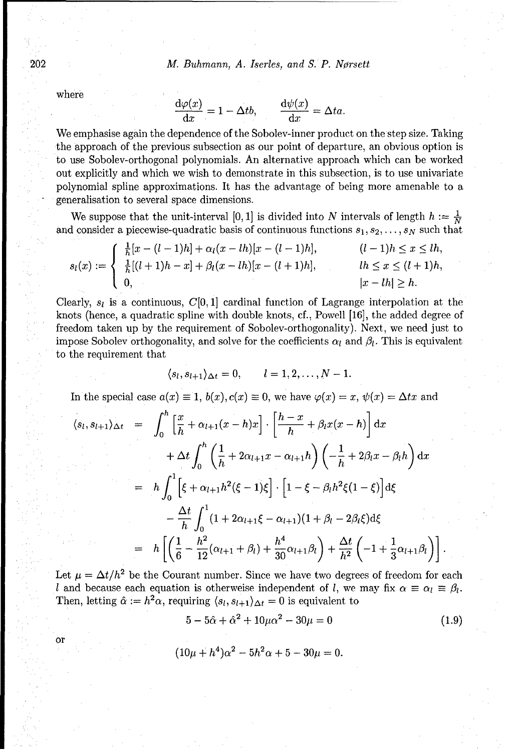202 M. Buhmann, *A. Iserles, and S. P. Norsett*

where

or

$$
\frac{d\varphi(x)}{dx} = 1 - \Delta t b, \qquad \frac{d\psi(x)}{dx} = \Delta t a.
$$

We emphasise again the dependence of the Sobolev-inner product on the step size. Taking the approach of the previous subsection as our point of departure, an obvious option is to use Sobolev-orthogonal polynomials. An alternative approach which can be worked out explicitly and which we wish to demonstrate in this subsection, is to use univariate polynomial spline approximations. It has the advantage of being more amenable to a generalisation to several space dimensions.

We suppose that the unit-interval [0, 1] is divided into N intervals of length  $h := \frac{1}{N}$ and consider a piecewise-quadratic basis of continuous functions  $s_1, s_2, \ldots, s_N$  such that

$$
s_l(x) := \begin{cases} \frac{1}{h} [x - (l-1)h] + \alpha_l (x - lh) [x - (l-1)h], & (l-1)h \le x \le lh, \\ \frac{1}{h} [(l+1)h - x] + \beta_l (x - lh) [x - (l+1)h], & lh \le x \le (l+1)h, \\ 0, & |x - lh| \ge h. \end{cases}
$$

Clearly,  $s_i$  is a continuous,  $C[0, 1]$  cardinal function of Lagrange interpolation at the knots (hence, a quadratic spline with double knots, cf., Powell [16], the added degree of freedom taken up by the requirement of Sobolev-orthogonality). Next, we need just to impose Sobolev orthogonality, and solve for the coefficients  $\alpha_l$  and  $\beta_l$ . This is equivalent to the requirement that

$$
\langle s_l, s_{l+1}\rangle_{\Delta t}=0, \qquad l=1,2,\ldots,N-1.
$$

In the special case  $a(x) \equiv 1$ ,  $b(x)$ ,  $c(x) \equiv 0$ , we have  $\varphi(x) = x$ ,  $\psi(x) = \Delta tx$  and

$$
\langle s_l, s_{l+1} \rangle_{\Delta t} = \int_0^h \left[ \frac{x}{h} + \alpha_{l+1}(x - h)x \right] \cdot \left[ \frac{h - x}{h} + \beta_l x(x - h) \right] dx + \Delta t \int_0^h \left( \frac{1}{h} + 2\alpha_{l+1} x - \alpha_{l+1} h \right) \left( -\frac{1}{h} + 2\beta_l x - \beta_l h \right) dx = h \int_0^1 \left[ \xi + \alpha_{l+1} h^2 (\xi - 1) \xi \right] \cdot \left[ 1 - \xi - \beta_l h^2 \xi (1 - \xi) \right] d\xi - \frac{\Delta t}{h} \int_0^1 (1 + 2\alpha_{l+1} \xi - \alpha_{l+1}) (1 + \beta_l - 2\beta_l \xi) d\xi = h \left[ \left( \frac{1}{6} - \frac{h^2}{12} (\alpha_{l+1} + \beta_l) + \frac{h^4}{30} \alpha_{l+1} \beta_l \right) + \frac{\Delta t}{h^2} \left( -1 + \frac{1}{3} \alpha_{l+1} \beta_l \right) \right].
$$

Let  $\mu = \Delta t / h^2$  be the Courant number. Since we have two degrees of freedom for each *I* and because each equation is otherweise independent of *l*, we may fix  $\alpha \equiv \alpha_l \equiv \beta_l$ . Then, letting  $\hat{\alpha} := h^2 \alpha$ , requiring  $\langle s_l, s_{l+1} \rangle_{\Delta t} = 0$  is equivalent to

 $5 - 5\hat{\alpha} + \hat{\alpha}^2 + 10\mu\alpha^2 - 30\mu = 0$  (1.9)

$$
(10\mu + h^4)\alpha^2 - 5h^2\alpha + 5 - 30\mu = 0.
$$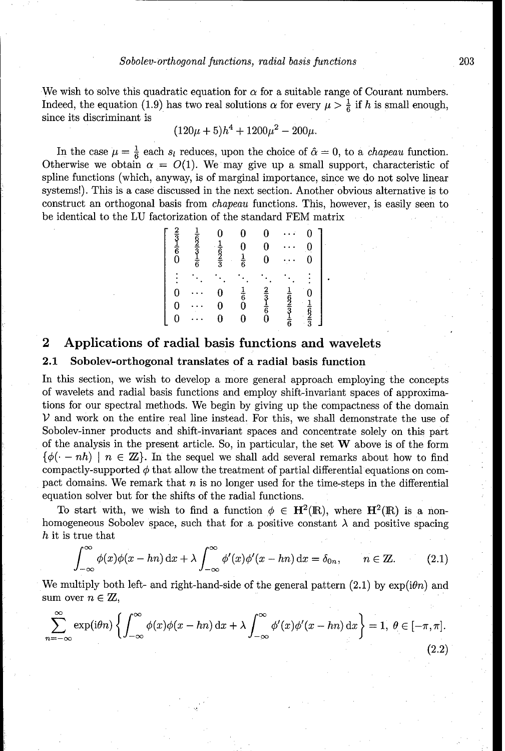We wish to solve this quadratic equation for  $\alpha$  for a suitable range of Courant numbers. Indeed, the equation (1.9) has two real solutions  $\alpha$  for every  $\mu > \frac{1}{6}$  if h is small enough, since its discriminant is

$$
(120\mu + 5)h^4 + 1200\mu^2 - 200\mu.
$$

In the case  $\mu = \frac{1}{6}$  each s<sub>l</sub> reduces, upon the choice of  $\hat{\alpha} = 0$ , to a *chapeau* function. Otherwise we obtain  $\alpha = O(1)$ . We may give up a small support, characteristic of spline functions (which, anyway, is of marginal importance, since we do not solve linear systems!). This is a case discussed in the next section. Another obvious alternative is to construct an orthogonal basis from chapeau functions. This, however, is easily seen to be identical to the LU factorization of the standard FEM matrix

| $\frac{2}{3}$ $\frac{1}{6}$ $\frac{6}{0}$ | $\frac{1}{6}$<br>$\frac{2}{3}$ $\frac{1}{6}$ | 0<br>$\frac{1}{6}$ $\frac{2}{3}$ | 0<br>$\mathbf{0}$<br>$\frac{1}{6}$ | $\bf{0}$<br>0<br>$\bf{0}$                 |                                           | 0<br>Q<br>0   |
|-------------------------------------------|----------------------------------------------|----------------------------------|------------------------------------|-------------------------------------------|-------------------------------------------|---------------|
|                                           |                                              |                                  |                                    |                                           |                                           |               |
| 0                                         |                                              | 0                                | $\frac{1}{6}$                      |                                           |                                           | 0             |
| 0                                         |                                              | $\bf{0}$                         |                                    | $\frac{2}{3}$ $\frac{1}{6}$ $\frac{1}{6}$ | $\frac{1}{6}$ $\frac{6}{3}$ $\frac{1}{6}$ | $\frac{1}{9}$ |
| 0                                         |                                              | 0                                | 0                                  |                                           |                                           |               |

# 2 Applications of radial basis functions and wavelets

#### 2.1 Sobolev-orthogonal translates of a radial basis function

In this section, we wish to develop a more general approach employing the concepts of wavelets and radial basis functions and employ shift-invariant spaces of approximations for our spectral methods. We begin by giving up the compactness of the domain *V* and work on the entire real line instead. For this, we shall demonstrate the use of Sobolev-inner products and shift-invariant spaces and concentrate solely on this part of the analysis in the present article. So, in particular, the set W above is of the form  $\{\phi(\cdot - nh) \mid n \in \mathbb{Z}\}\.$  In the sequel we shall add several remarks about how to find compactly-supported  $\phi$  that allow the treatment of partial differential equations on compact domains. We remark that  $n$  is no longer used for the time-steps in the differential equation solver but for the shifts of the radial functions.

To start with, we wish to find a function  $\phi \in \mathbf{H}^2(\mathbb{R})$ , where  $\mathbf{H}^2(\mathbb{R})$  is a nonhomogeneous Sobolev space, such that for a positive constant  $\lambda$  and positive spacing h it is true that

$$
\int_{-\infty}^{\infty} \phi(x)\phi(x-hn) dx + \lambda \int_{-\infty}^{\infty} \phi'(x)\phi'(x-hn) dx = \delta_{0n}, \qquad n \in \mathbb{Z}.
$$
 (2.1)

We multiply both left- and right-hand-side of the general pattern  $(2.1)$  by  $\exp(i\theta n)$  and sum over  $n \in \mathbb{Z}$ ,

$$
\sum_{n=-\infty}^{\infty} \exp(i\theta n) \left\{ \int_{-\infty}^{\infty} \phi(x)\phi(x-hn) dx + \lambda \int_{-\infty}^{\infty} \phi'(x)\phi'(x-hn) dx \right\} = 1, \ \theta \in [-\pi, \pi].
$$
\n(2.2)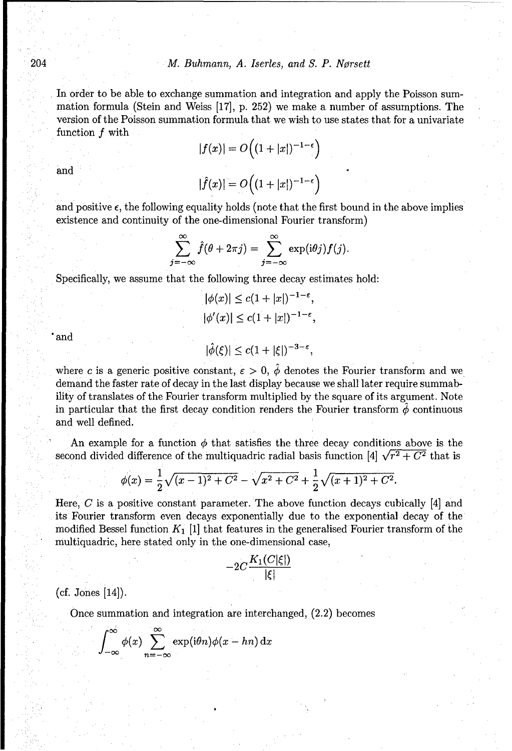In order to be able to exchange summation and integration and apply the Poisson summation formula (Stein and Weiss [17], p. 252) we make a number of assumptions. The version of the Poisson summation formula that we wish to use states that for a univariate function f with

$$
|f(x)| = O\left((1+|x|)^{-1-\epsilon}\right)
$$
  
and  

$$
|\hat{f}(x)| = O\left((1+|x|)^{-1-\epsilon}\right)
$$

and positive 
$$
\epsilon
$$
, the following equality holds (note that the first bound in the above implies existence and continuity of the one-dimensional Fourier transform)

$$
\sum_{j=-\infty}^{\infty} \hat{f}(\theta + 2\pi j) = \sum_{j=-\infty}^{\infty} \exp(i\theta j) f(j).
$$

Specifically, we assume that the following three decay estimates hold:

$$
|\phi(x)| \le c(1+|x|)^{-1-\epsilon},
$$
  

$$
|\phi'(x)| \le c(1+|x|)^{-1-\epsilon},
$$

and 
$$
|\hat{\phi}(\xi)| \leq c(1+|\xi|)^{-3-\varepsilon},
$$

where c is a generic positive constant,  $\varepsilon > 0$ ,  $\hat{\phi}$  denotes the Fourier transform and we demand the faster rate of decay in the last display because we shall later require summability of translates of the Fourier transform multiplied by the square of its argument. Note in particular that the first decay condition renders the Fourier transform  $\hat{\phi}$  continuous and well defined.

An example for a function  $\phi$  that satisfies the three decay conditions above is the second divided difference of the multiquadric radial basis function [4]  $\sqrt{r^2 + C^2}$  that is

$$
\phi(x) = \frac{1}{2}\sqrt{(x-1)^2 + C^2} - \sqrt{x^2 + C^2} + \frac{1}{2}\sqrt{(x+1)^2 + C^2}.
$$

Here,  $C$  is a positive constant parameter. The above function decays cubically [4] and its Fourier transform even decays exponentially due to the exponential decay of the modified Bessel function  $K_1$  [1] that features in the generalised Fourier transform of the multiquadric, here stated only in the one-dimensional case,

$$
-2C\frac{K_1(C|\xi|)}{|\xi|}
$$

(cf. Jones [14]).

Once summation and integration are interchanged, (2.2) becomes

$$
\int_{-\infty}^{\infty} \phi(x) \sum_{n=-\infty}^{\infty} \exp(i\theta n) \phi(x - hn) \,dx
$$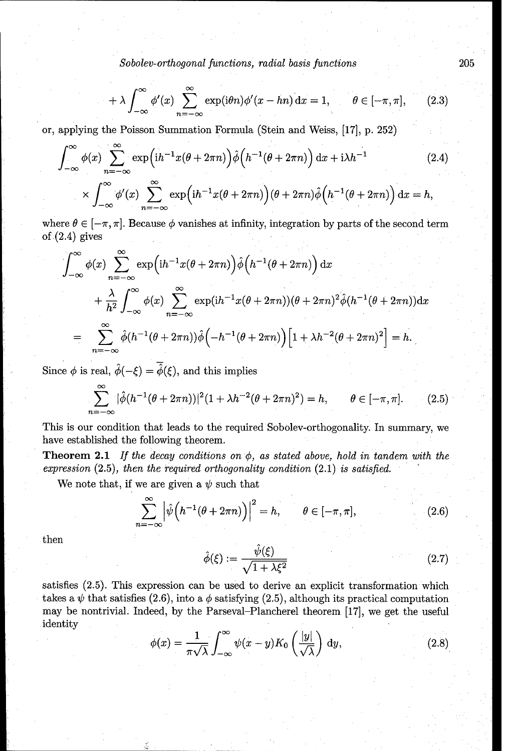$$
+\lambda \int_{-\infty}^{\infty} \phi'(x) \sum_{n=-\infty}^{\infty} \exp(i\theta n) \phi'(x-hn) \, \mathrm{d}x = 1, \qquad \theta \in [-\pi, \pi], \qquad (2.3)
$$

or, applying the Poisson Summation Formula (Stein and Weiss, [17], p. 252)

$$
\int_{-\infty}^{\infty} \phi(x) \sum_{n=-\infty}^{\infty} \exp\left(i h^{-1} x (\theta + 2\pi n)\right) \hat{\phi}\left(h^{-1} (\theta + 2\pi n)\right) dx + i \lambda h^{-1}
$$
\n
$$
\times \int_{-\infty}^{\infty} \phi'(x) \sum_{n=-\infty}^{\infty} \exp\left(i h^{-1} x (\theta + 2\pi n)\right) (\theta + 2\pi n) \hat{\phi}\left(h^{-1} (\theta + 2\pi n)\right) dx = h,
$$
\n(2.4)

where  $\theta \in [-\pi, \pi]$ . Because  $\phi$  vanishes at infinity, integration by parts of the second term of  $(2.4)$  gives

$$
\int_{-\infty}^{\infty} \phi(x) \sum_{n=-\infty}^{\infty} \exp\left(\mathrm{i}h^{-1}x(\theta+2\pi n)\right) \hat{\phi}\left(h^{-1}(\theta+2\pi n)\right) \mathrm{d}x
$$
  
+ 
$$
\frac{\lambda}{h^2} \int_{-\infty}^{\infty} \phi(x) \sum_{n=-\infty}^{\infty} \exp(\mathrm{i}h^{-1}x(\theta+2\pi n))(\theta+2\pi n)^2 \hat{\phi}(h^{-1}(\theta+2\pi n)) \mathrm{d}x
$$
  
= 
$$
\sum_{n=-\infty}^{\infty} \hat{\phi}(h^{-1}(\theta+2\pi n)) \hat{\phi}\left(-h^{-1}(\theta+2\pi n)\right) \left[1+\lambda h^{-2}(\theta+2\pi n)^2\right] = h.
$$

Since  $\phi$  is real,  $\hat{\phi}(-\xi) = \overline{\hat{\phi}}(\xi)$ , and this implies

$$
\sum_{n=-\infty}^{\infty} |\hat{\phi}(h^{-1}(\theta + 2\pi n))|^2 (1 + \lambda h^{-2}(\theta + 2\pi n)^2) = h, \qquad \theta \in [-\pi, \pi]. \tag{2.5}
$$

This is our condition that leads to the required Sobolev-orthogonality. In summary, we have established the following theorem.

Theorem 2.1 *If the decay conditions* on *0, as stated above, hold* in tandem with *the expression* (2.5), then the required orthogonality condition (2.1) *is satisfied.*

We note that, if we are given a  $\psi$  such that

$$
\sum_{n=-\infty}^{\infty} \left| \hat{\psi}\left(h^{-1}(\theta + 2\pi n)\right) \right|^2 = h, \qquad \theta \in [-\pi, \pi], \tag{2.6}
$$

then  

$$
\hat{\phi}(\xi) := \frac{\hat{\psi}(\xi)}{\sqrt{1 + \lambda \xi^2}}
$$
(2.7)

satisfies (2.5). This expression can be used to derive an explicit transformation which takes a  $\psi$  that satisfies (2.6), into a  $\phi$  satisfying (2.5), although its practical computation may be nontrivial. Indeed, by the Parseval-Plancherel theorem [17], we get the useful identity

$$
\phi(x) = \frac{1}{\pi\sqrt{\lambda}} \int_{-\infty}^{\infty} \psi(x - y) K_0\left(\frac{|y|}{\sqrt{\lambda}}\right) dy,
$$
\n(2.8)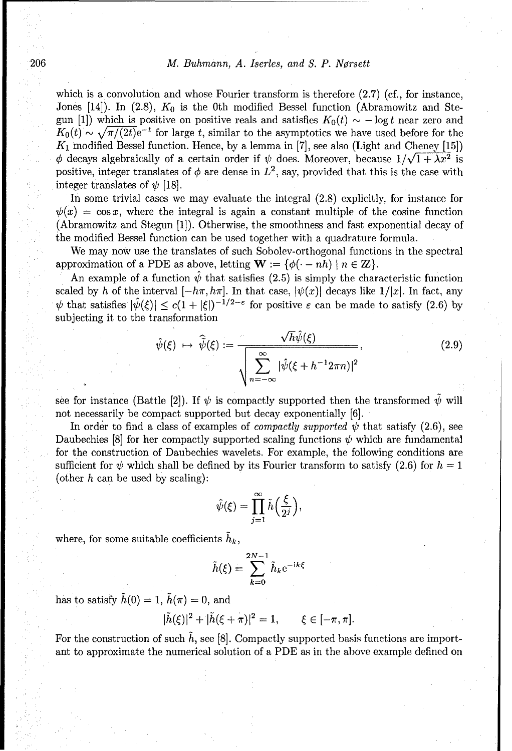which is a convolution and whose Fourier transform is therefore  $(2.7)$  (cf., for instance, Jones [14]). In (2.8),  $K_0$  is the 0th modified Bessel function (Abramowitz and Stegun [1]) which is positive on positive reals and satisfies  $K_0(t) \sim -\log t$  near zero and  $K_0(t) \sim \sqrt{\pi/(2t)}e^{-t}$  for large t, similar to the asymptotics we have used before for the *K1* modified Bessel function. Hence, by a lemma in [7], see also (Light and Cheney [15])  $\phi$  decays algebraically of a certain order if  $\psi$  does. Moreover, because  $1/\sqrt{1 + \lambda x^2}$  is positive, integer translates of  $\phi$  are dense in  $L^2$ , say, provided that this is the case with integer translates of  $\psi$  [18].

In some trivial cases we may evaluate the integral (2.8) explicitly, for instance for  $\psi(x) = \cos x$ , where the integral is again a constant multiple of the cosine function (Abramowitz and Stegun [1]). Otherwise, the smoothness and fast exponential decay of the modified Bessel function can be used together with a quadrature formula.

We may now use the translates of such Sobolev-orthogonal functions in the spectral approximation of a PDE as above, letting  $\mathbf{W} := \{ \phi(\cdot - nh) \mid n \in \mathbb{Z} \}.$ 

An example of a function  $\hat{\psi}$  that satisfies (2.5) is simply the characteristic function scaled by h of the interval  $[-h\pi, h\pi]$ . In that case,  $|\psi(x)|$  decays like  $1/|x|$ . In fact, any  $\psi$  that satisfies  $|\hat{\psi}(\xi)| \leq c(1+|\xi|)^{-1/2-\epsilon}$  for positive  $\varepsilon$  can be made to satisfy (2.6) by subjecting it to the transformation

$$
\hat{\psi}(\xi) \mapsto \hat{\tilde{\psi}}(\xi) := \frac{\sqrt{h}\hat{\psi}(\xi)}{\sqrt{\sum_{n=-\infty}^{\infty} |\hat{\psi}(\xi + h^{-1}2\pi n)|^2}},
$$
\n(2.9)

see for instance (Battle [2]). If  $\psi$  is compactly supported then the transformed  $\psi$  will not necessarily be compact supported but decay exponentially [6].

In order to find a class of examples of *compactly supported*  $\psi$  that satisfy (2.6), see Daubechies  $[8]$  for her compactly supported scaling functions  $\psi$  which are fundamental for the construction of Daubechies wavelets. For example, the following conditions are sufficient for  $\psi$  which shall be defined by its Fourier transform to satisfy (2.6) for  $h = 1$ (other h can be used by scaling):

$$
\hat{\psi}(\xi) = \prod_{j=1}^{\infty} \tilde{h}\left(\frac{\xi}{2^j}\right),\,
$$

where, for some suitable coefficients  $h_k$ ,

$$
\tilde{h}(\xi) = \sum_{k=0}^{2N-1} \tilde{h}_k e^{-ik\xi}
$$

has to satisfy  $\tilde{h}(0) = 1$ ,  $\tilde{h}(\pi) = 0$ , and

$$
|\tilde{h}(\xi)|^2 + |\tilde{h}(\xi + \pi)|^2 = 1, \qquad \xi \in [-\pi, \pi].
$$

For the construction of such  $\tilde{h}$ , see [8]. Compactly supported basis functions are important to approximate the numerical solution of a PDE as in the above example defined on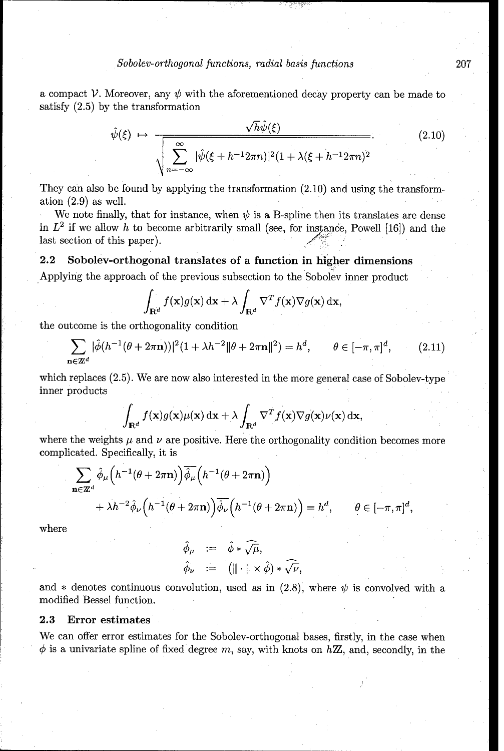a compact *V*. Moreover, any  $\psi$  with the aforementioned decay property can be made to satisfy (2.5) by the transformation

$$
\hat{\psi}(\xi) \mapsto \frac{\sqrt{h}\hat{\psi}(\xi)}{\sqrt{\sum_{n=-\infty}^{\infty} |\hat{\psi}(\xi + h^{-1}2\pi n)|^2 (1 + \lambda(\xi + h^{-1}2\pi n)^2}}.
$$
\n(2.10)

They can also be found by applying the transformation  $(2.10)$  and using the transformation (2.9) as well.

We note finally, that for instance, when  $\psi$  is a B-spline then its translates are dense in  $L^2$  if we allow h to become arbitrarily small (see, for instance, Powell [16]) and the last section of this paper).

### 2.2 Sobolev-orthogonal translates of a function in higher dimensions

Applying the approach of the previous subsection **to** the Sobolev inner product

$$
\int_{\mathbf{R}^d} f(\mathbf{x}) g(\mathbf{x}) \, \mathrm{d}\mathbf{x} + \lambda \int_{\mathbf{R}^d} \nabla^T f(\mathbf{x}) \nabla g(\mathbf{x}) \, \mathrm{d}\mathbf{x},
$$

the outcome is the orthogonality condition

$$
\sum_{\mathbf{n}\in\mathbb{Z}^d} |\hat{\phi}(h^{-1}(\theta + 2\pi \mathbf{n}))|^2 (1 + \lambda h^{-2} \|\theta + 2\pi \mathbf{n}\|^2) = h^d, \qquad \theta \in [-\pi, \pi]^d, \qquad (2.11)
$$

which replaces (2.5). We are now also interested in the more general case of Sobolev-type inner products

$$
\int_{\mathbf{R}^d} f(\mathbf{x}) g(\mathbf{x}) \mu(\mathbf{x}) \, \mathrm{d}\mathbf{x} + \lambda \int_{\mathbf{R}^d} \nabla^T f(\mathbf{x}) \nabla g(\mathbf{x}) \nu(\mathbf{x}) \, \mathrm{d}\mathbf{x},
$$

where the weights  $\mu$  and  $\nu$  are positive. Here the orthogonality condition becomes more complicated. Specifically, it is

$$
\sum_{\mathbf{n}\in\mathbb{Z}^d} \hat{\phi}_{\mu}\Big(h^{-1}(\theta+2\pi\mathbf{n})\Big)\overline{\hat{\phi}_{\mu}}\Big(h^{-1}(\theta+2\pi\mathbf{n})\Big) + \lambda h^{-2}\hat{\phi}_{\nu}\Big(h^{-1}(\theta+2\pi\mathbf{n})\Big)\overline{\hat{\phi}_{\nu}}\Big(h^{-1}(\theta+2\pi\mathbf{n})\Big) = h^d, \qquad \theta \in [-\pi,\pi]^d,
$$

where

$$
\hat{\phi}_{\mu} := \hat{\phi} * \widehat{\sqrt{\mu}}, \n\hat{\phi}_{\nu} := (\|\cdot\| \times \hat{\phi}) * \widehat{\sqrt{\nu}},
$$

and  $*$  denotes continuous convolution, used as in (2.8), where  $\psi$  is convolved with a modified Bessel function.

### **2.3** Error estimates

We can offer error estimates for the Sobolev-orthogonal bases, firstly, in the case when  $\phi$  is a univariate spline of fixed degree m, say, with knots on  $h\mathbb{Z}$ , and, secondly, in the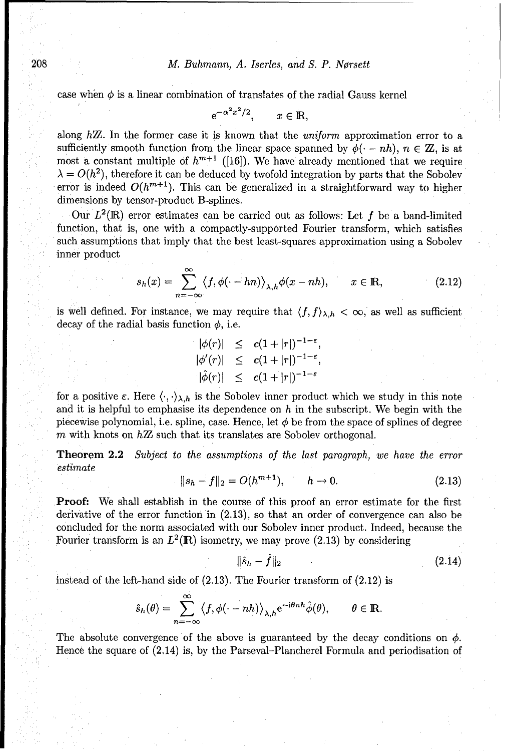case when  $\phi$  is a linear combination of translates of the radial Gauss kernel

 $e^{-\alpha^2x^2/2}$ ,  $x \in \mathbb{R}$ ,

along  $h\mathbb{Z}$ . In the former case it is known that the *uniform* approximation error to a sufficiently smooth function from the linear space spanned by  $\phi(\cdot - nh)$ ,  $n \in \mathbb{Z}$ , is at most a constant multiple of  $h^{m+1}$  ([16]). We have already mentioned that we require  $\lambda = O(h^2)$ , therefore it can be deduced by twofold integration by parts that the Sobolev error is indeed  $O(h^{m+1})$ . This can be generalized in a straightforward way to higher dimensions by tensor-product B-splines.

Our  $L^2(\mathbb{R})$  error estimates can be carried out as follows: Let f be a band-limited function, that is, one with a compactly-supported Fourier transform, which satisfies such assumptions that imply that the best least-squares approximation using a Sobolev inner product

$$
s_h(x) = \sum_{n = -\infty}^{\infty} \langle f, \phi(\cdot - hn) \rangle_{\lambda, h} \phi(x - nh), \qquad x \in \mathbb{R}, \tag{2.12}
$$

is well defined. For instance, we may require that  $\langle f, f \rangle_{\lambda,h} < \infty$ , as well as sufficient decay of the radial basis function  $\phi$ , i.e.

> $|\phi(r)| \leq c(1+|r|)^{-1-\epsilon}$  $\phi'(r)| \leq c(1+|r|)^{-1-}$

for a positive  $\varepsilon$ . Here  $\langle \cdot, \cdot \rangle_{\lambda,h}$  is the Sobolev inner product which we study in this note and it is helpful to emphasise its dependence on  $h$  in the subscript. We begin with the piecewise polynomial, i.e. spline, case. Hence, let  $\phi$  be from the space of splines of degree m with knots on  $h\mathbb{Z}$  such that its translates are Sobolev orthogonal.

Theorem 2.2 *Subject to the assumptions of the last paragraph, we have the* error estimate

$$
||s_h - f||_2 = O(h^{m+1}), \qquad h \to 0. \tag{2.13}
$$

Proof: We shall establish in the course of this proof an error estimate for the first derivative of the error function in (2.13), so that an order of convergence can also be concluded for the norm associated with our Sobolev inner product. Indeed, because the Fourier transform is an  $L^2(\mathbb{R})$  isometry, we may prove (2.13) by considering

$$
\|\hat{s}_h - f\|_2 \tag{2.14}
$$

instead of the left-hand side of (2.13). The Fourier transform of (2.12) is

$$
\hat{s}_h(\theta) = \sum_{n=-\infty}^{\infty} \langle f, \phi(\cdot - nh) \rangle_{\lambda, h} e^{-i\theta n h} \hat{\phi}(\theta), \qquad \theta \in \mathbb{R}.
$$

The absolute convergence of the above is guaranteed by the decay conditions on  $\phi$ . Hence the square of (2.14) is, by the Parseval-Plancherel Formula and periodisation of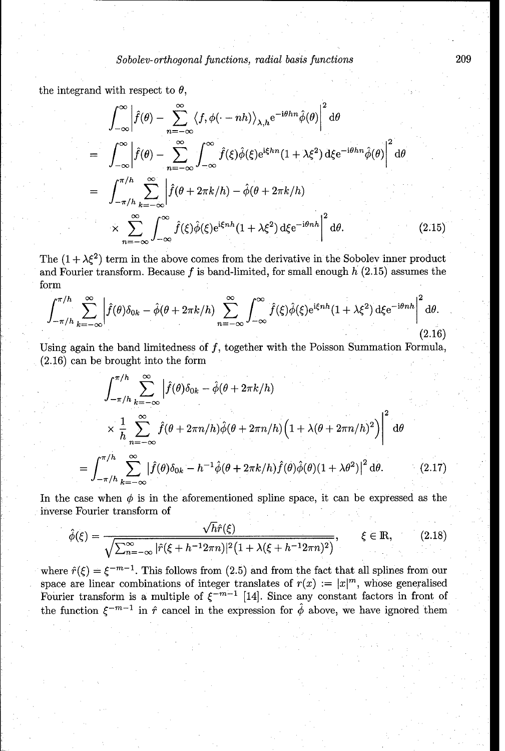the integrand with respect to  $\theta$ ,

$$
\int_{-\infty}^{\infty} \left| \hat{f}(\theta) - \sum_{n=-\infty}^{\infty} \langle f, \phi(\cdot - nh) \rangle_{\lambda, h} e^{-i\theta h n} \hat{\phi}(\theta) \right|^2 d\theta
$$
  
\n
$$
= \int_{-\infty}^{\infty} \left| \hat{f}(\theta) - \sum_{n=-\infty}^{\infty} \int_{-\infty}^{\infty} \hat{f}(\xi) \hat{\phi}(\xi) e^{i\xi h n} (1 + \lambda \xi^2) d\xi e^{-i\theta h n} \hat{\phi}(\theta) \right|^2 d\theta
$$
  
\n
$$
= \int_{-\pi/h}^{\pi/h} \sum_{k=-\infty}^{\infty} \left| \hat{f}(\theta + 2\pi k/h) - \hat{\phi}(\theta + 2\pi k/h) \right|^2
$$
  
\n
$$
\times \sum_{n=-\infty}^{\infty} \int_{-\infty}^{\infty} \hat{f}(\xi) \hat{\phi}(\xi) e^{i\xi nh} (1 + \lambda \xi^2) d\xi e^{-i\theta nh} \Big|^2 d\theta.
$$
 (2.15)

The  $(1 + \lambda \xi^2)$  term in the above comes from the derivative in the Sobolev inner product and Fourier transform. Because  $f$  is band-limited, for small enough  $h$  (2.15) assumes the form

$$
\int_{-\pi/h}^{\pi/h} \sum_{k=-\infty}^{\infty} \left| \hat{f}(\theta)\delta_{0k} - \hat{\phi}(\theta + 2\pi k/h) \sum_{n=-\infty}^{\infty} \int_{-\infty}^{\infty} \hat{f}(\xi)\hat{\phi}(\xi)e^{i\xi nh}(1 + \lambda\xi^2) d\xi e^{-i\theta nh} \right|^2 d\theta.
$$
\n(2.16)

Using again the band limitedness of  $f$ , together with the Poisson Summation Formula, (2.16) can be brought into the form

$$
\int_{-\pi/h}^{\pi/h} \sum_{k=-\infty}^{\infty} \left| \hat{f}(\theta)\delta_{0k} - \hat{\phi}(\theta + 2\pi k/h) \right|
$$
  
 
$$
\times \frac{1}{h} \sum_{n=-\infty}^{\infty} \hat{f}(\theta + 2\pi n/h) \hat{\phi}(\theta + 2\pi n/h) \left(1 + \lambda(\theta + 2\pi n/h)^2\right) \Big|^{2} d\theta
$$
  
= 
$$
\int_{-\pi/h}^{\pi/h} \sum_{k=-\infty}^{\infty} \left| \hat{f}(\theta)\delta_{0k} - h^{-1} \hat{\phi}(\theta + 2\pi k/h) \hat{f}(\theta) \hat{\phi}(\theta) (1 + \lambda \theta^{2}) \right|^{2} d\theta.
$$
 (2.17)

In the case when  $\phi$  is in the aforementioned spline space, it can be expressed as the inverse Fourier transform of

$$
\hat{\phi}(\xi) = \frac{\sqrt{h}\hat{r}(\xi)}{\sqrt{\sum_{n=-\infty}^{\infty} |\hat{r}(\xi + h^{-1}2\pi n)|^2 \left(1 + \lambda(\xi + h^{-1}2\pi n)^2\right)}}, \qquad \xi \in \mathbb{R}, \tag{2.18}
$$

where  $\hat{r}(\xi) = \xi^{-m-1}$ . This follows from (2.5) and from the fact that all splines from our space are linear combinations of integer translates of  $r(x) := |x|^m$ , whose generalised Fourier transform is a multiple of  $\xi^{-m-1}$  [14]. Since any constant factors in front of the function  $\xi^{-m-1}$  in  $\hat{r}$  cancel in the expression for  $\hat{\phi}$  above, we have ignored them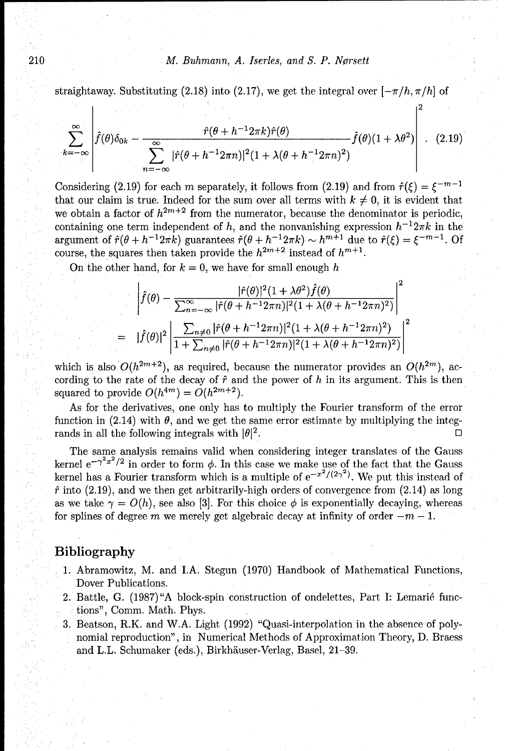## 210 M. Buhmann, *A. Iserles, and S. P. Norsett*

 $|2$ 

straightaway. Substituting (2.18) into (2.17), we get the integral over  $[-\pi/h, \pi/h]$  of

$$
\sum_{k=-\infty}^{\infty} \left| \hat{f}(\theta)\delta_{0k} - \frac{\hat{r}(\theta + h^{-1}2\pi k)\hat{r}(\theta)}{\sum_{n=-\infty}^{\infty} |\hat{r}(\theta + h^{-1}2\pi n)|^2 (1 + \lambda(\theta + h^{-1}2\pi n)^2)} \hat{f}(\theta)(1 + \lambda\theta^2) \right| \quad (2.19)
$$

Considering (2.19) for each m separately, it follows from (2.19) and from  $\hat{r}(\xi) = \xi^{-m-1}$ that our claim is true. Indeed for the sum over all terms with  $k \neq 0$ , it is evident that we obtain a factor of  $h^{2m+2}$  from the numerator, because the denominator is periodic containing one term independent of h, and the nonvanishing expression  $h^{-1}2\pi k$  in the argument of  $\hat{r}(\theta + h^{-1}2\pi k)$  guarantees  $\hat{r}(\theta + h^{-1}2\pi k) \sim h^{m+1}$  due to  $\hat{r}(\xi) = \xi^{-m-1}$ . Of course, the squares then taken provide the  $h^{2m+2}$  instead of  $h^{m+1}$ .

On the other hand, for  $k = 0$ , we have for small enough h

$$
\left| \hat{f}(\theta) - \frac{|\hat{r}(\theta)|^2 (1 + \lambda \theta^2) \hat{f}(\theta)}{\sum_{n=-\infty}^{\infty} |\hat{r}(\theta + h^{-1} 2\pi n)|^2 (1 + \lambda (\theta + h^{-1} 2\pi n)^2)} \right|^2
$$
  
= 
$$
|\hat{f}(\theta)|^2 \left| \frac{\sum_{n \neq 0} |\hat{r}(\theta + h^{-1} 2\pi n)|^2 (1 + \lambda (\theta + h^{-1} 2\pi n)^2)}{1 + \sum_{n \neq 0} |\hat{r}(\theta + h^{-1} 2\pi n)|^2 (1 + \lambda (\theta + h^{-1} 2\pi n)^2)} \right|^2
$$

which is also  $O(h^{2m+2})$ , as required, because the numerator provides an  $O(h^{2m})$ , according to the rate of the decay of  $\hat{r}$  and the power of  $h$  in its argument. This is then squared to provide  $O(h^{4m}) = O(h^{2m+2})$ .

As for the derivatives, one only has to multiply the Fourier transform of the error function in (2.14) with  $\theta$ , and we get the same error estimate by multiplying the integrands in all the following integrals with  $|\theta|^2$ .

The same analysis remains valid when considering integer translates of the Gauss kernel  $e^{-\gamma^2 x^2/2}$  in order to form  $\phi$ . In this case we make use of the fact that the Gauss kernel has a Fourier transform which is a multiple of  $e^{-x^2/(2\gamma^2)}$ . We put this instead of  $\hat{r}$  into (2.19), and we then get arbitrarily-high orders of convergence from (2.14) as long as we take  $\gamma = O(h)$ , see also [3]. For this choice  $\phi$  is exponentially decaying, whereas for splines of degree m we merely get algebraic decay at infinity of order  $-m-1$ .

## Bibliography

- 1. Abramowitz, M. and I.A. Stegun (1970) Handbook of Mathematical Functions, Dover Publications.
- 2. Battle, G. (1987) "A block-spin construction of ondelettes, Part I: Lemarié functions", Comm. Math. Phys.
- 3. Beatson, R.K. and W.A. Light (1992) "Quasi-interpolation in the absence of polynomial reproduction", in Numerical Methods of Approximation Theory, D. Braess and L.L. Schumaker (eds.), Birkhäuser-Verlag, Basel, 21-39.